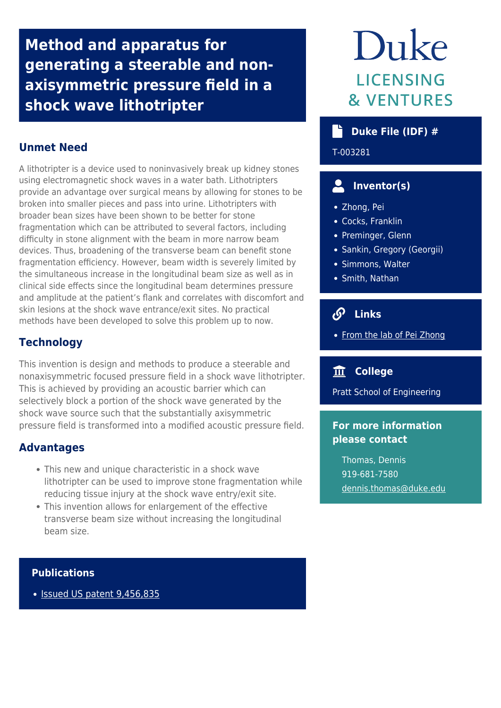**Method and apparatus for generating a steerable and nonaxisymmetric pressure field in a shock wave lithotripter**

## **Unmet Need**

A lithotripter is a device used to noninvasively break up kidney stones using electromagnetic shock waves in a water bath. Lithotripters provide an advantage over surgical means by allowing for stones to be broken into smaller pieces and pass into urine. Lithotripters with broader bean sizes have been shown to be better for stone fragmentation which can be attributed to several factors, including difficulty in stone alignment with the beam in more narrow beam devices. Thus, broadening of the transverse beam can benefit stone fragmentation efficiency. However, beam width is severely limited by the simultaneous increase in the longitudinal beam size as well as in clinical side effects since the longitudinal beam determines pressure and amplitude at the patient's flank and correlates with discomfort and skin lesions at the shock wave entrance/exit sites. No practical methods have been developed to solve this problem up to now.

## **Technology**

This invention is design and methods to produce a steerable and nonaxisymmetric focused pressure field in a shock wave lithotripter. This is achieved by providing an acoustic barrier which can selectively block a portion of the shock wave generated by the shock wave source such that the substantially axisymmetric pressure field is transformed into a modified acoustic pressure field.

#### **Advantages**

- This new and unique characteristic in a shock wave lithotripter can be used to improve stone fragmentation while reducing tissue injury at the shock wave entry/exit site.
- This invention allows for enlargement of the effective transverse beam size without increasing the longitudinal beam size.

#### **Publications**

• [Issued US patent 9,456,835](https://patents.google.com/patent/US9456835B2/en?oq=9%2c456%2c835)

# Duke **LICENSING & VENTURES**

## **Duke File (IDF) #**

T-003281

# **Inventor(s)**

- Zhong, Pei
- Cocks, Franklin
- Preminger, Glenn
- Sankin, Gregory (Georgii)
- Simmons, Walter
- Smith, Nathan

# **Links**

• [From the lab of Pei Zhong](https://mems.duke.edu/faculty/pei-zhong)

#### **College**

Pratt School of Engineering

#### **For more information please contact**

Thomas, Dennis 919-681-7580 [dennis.thomas@duke.edu](mailto:dennis.thomas@duke.edu)